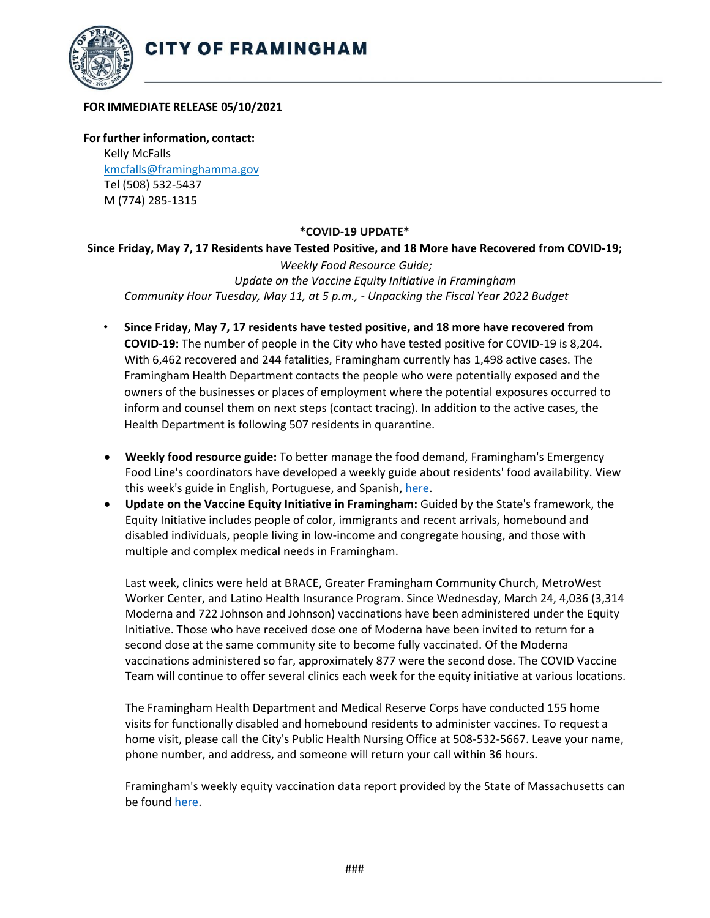

## **FOR IMMEDIATE RELEASE 05/10/2021**

**For further information, contact:** Kelly McFalls [kmcfalls@framinghamma.gov](mailto:kmcfalls@framinghamma.gov) Tel (508) 532-5437 M (774) 285-1315

## **\*COVID-19 UPDATE\***

## **Since Friday, May 7, 17 Residents have Tested Positive, and 18 More have Recovered from COVID-19;**

*Weekly Food Resource Guide; Update on the Vaccine Equity Initiative in Framingham Community Hour Tuesday, May 11, at 5 p.m., - Unpacking the Fiscal Year 2022 Budget*

- **Since Friday, May 7, 17 residents have tested positive, and 18 more have recovered from COVID-19:** The number of people in the City who have tested positive for COVID-19 is 8,204. With 6,462 recovered and 244 fatalities, Framingham currently has 1,498 active cases. The Framingham Health Department contacts the people who were potentially exposed and the owners of the businesses or places of employment where the potential exposures occurred to inform and counsel them on next steps (contact tracing). In addition to the active cases, the Health Department is following 507 residents in quarantine.
- **Weekly food resource guide:** To better manage the food demand, Framingham's Emergency Food Line's coordinators have developed a weekly guide about residents' food availability. View this week's guide in English, Portuguese, and Spanish, [here.](https://www.framinghamma.gov/3023/Access-Food)
- **Update on the Vaccine Equity Initiative in Framingham:** Guided by the State's framework, the Equity Initiative includes people of color, immigrants and recent arrivals, homebound and disabled individuals, people living in low-income and congregate housing, and those with multiple and complex medical needs in Framingham.

Last week, clinics were held at BRACE, Greater Framingham Community Church, MetroWest Worker Center, and Latino Health Insurance Program. Since Wednesday, March 24, 4,036 (3,314 Moderna and 722 Johnson and Johnson) vaccinations have been administered under the Equity Initiative. Those who have received dose one of Moderna have been invited to return for a second dose at the same community site to become fully vaccinated. Of the Moderna vaccinations administered so far, approximately 877 were the second dose. The COVID Vaccine Team will continue to offer several clinics each week for the equity initiative at various locations.

The Framingham Health Department and Medical Reserve Corps have conducted 155 home visits for functionally disabled and homebound residents to administer vaccines. To request a home visit, please call the City's Public Health Nursing Office at 508-532-5667. Leave your name, phone number, and address, and someone will return your call within 36 hours.

Framingham's weekly equity vaccination data report provided by the State of Massachusetts can be foun[d here.](https://www.mass.gov/doc/framingham-vaccination-data-report-may-7-2021/download)